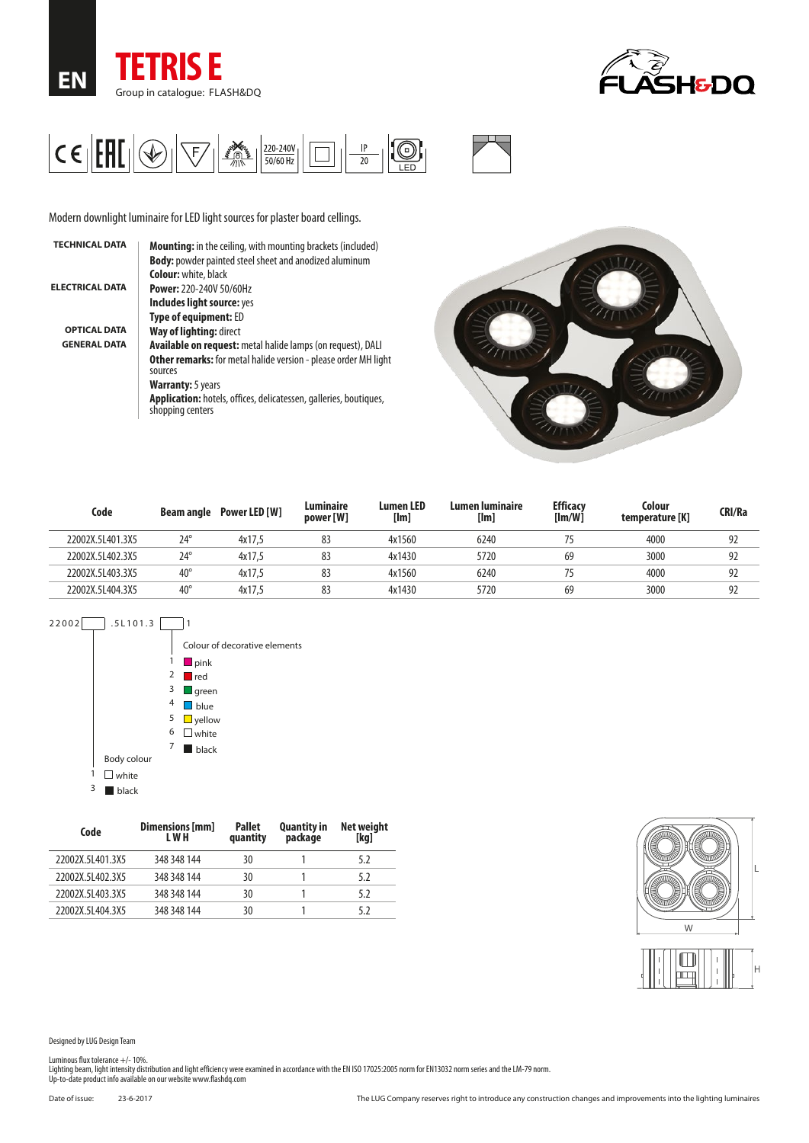





Modern downlight luminaire for LED light sources for plaster board cellings.

| <b>TECHNICAL DATA</b>  | <b>Mounting:</b> in the ceiling, with mounting brackets (included)                           |
|------------------------|----------------------------------------------------------------------------------------------|
|                        | <b>Body:</b> powder painted steel sheet and anodized aluminum                                |
|                        | <b>Colour:</b> white, black                                                                  |
| <b>ELECTRICAL DATA</b> | <b>Power: 220-240V 50/60Hz</b>                                                               |
|                        | Includes light source: yes                                                                   |
|                        | <b>Type of equipment: ED</b>                                                                 |
| <b>OPTICAL DATA</b>    | Way of lighting: direct                                                                      |
| <b>GENERAL DATA</b>    | <b>Available on request:</b> metal halide lamps (on request), DALI                           |
|                        | <b>Other remarks:</b> for metal halide version - please order MH light<br>sources            |
|                        | <b>Warranty:</b> 5 years                                                                     |
|                        | <b>Application:</b> hotels, offices, delicatessen, galleries, boutiques,<br>shopping centers |



| Code             | <b>Beam angle</b> | Power LED [W] | Luminaire<br>power [W] | <b>Lumen LED</b><br>[Im] | Lumen Iuminaire<br>[Im] | <b>Efficacy</b><br>[Im/W] | Colour<br>temperature [K] | CRI/Ra |
|------------------|-------------------|---------------|------------------------|--------------------------|-------------------------|---------------------------|---------------------------|--------|
| 22002X.5L401.3X5 | $24^{\circ}$      | 4x17.5        | 83                     | 4x1560                   | 6240                    |                           | 4000                      | 92     |
| 22002X.5L402.3X5 | $24^{\circ}$      | 4x17.5        | 83                     | 4x1430                   | 5720                    | 69                        | 3000                      | 92     |
| 22002X.5L403.3X5 | $40^{\circ}$      | 4x17.5        | 83                     | 4x1560                   | 6240                    |                           | 4000                      | 92     |
| 22002X.5L404.3X5 | $40^{\circ}$      | 4x17.5        | 83                     | 4x1430                   | 5720                    | 69                        | 3000                      | 92     |



| Code             | Dimensions [mm]<br>L W H | <b>Pallet</b><br>quantity | <b>Quantity in</b><br>package | Net weight<br>[kg] |
|------------------|--------------------------|---------------------------|-------------------------------|--------------------|
| 22002X.5L401.3X5 | 348 348 144              | 30                        |                               | 5.2                |
| 22002X.5L402.3X5 | 348 348 144              | 30                        |                               | 5.2                |
| 22002X.5L403.3X5 | 348 348 144              | 30                        |                               | 5.2                |
| 22002X.5L404.3X5 | 348 348 144              | 30                        |                               | 5.2                |



Designed by LUG Design Team

Luminous flux tolerance +/- 10%.<br>Lighting beam, light intensity distribution and light efficiency were examined in accordance with the EN ISO 17025:2005 norm for EN13032 norm series and the LM-79 norm.<br>Up-to-date product i